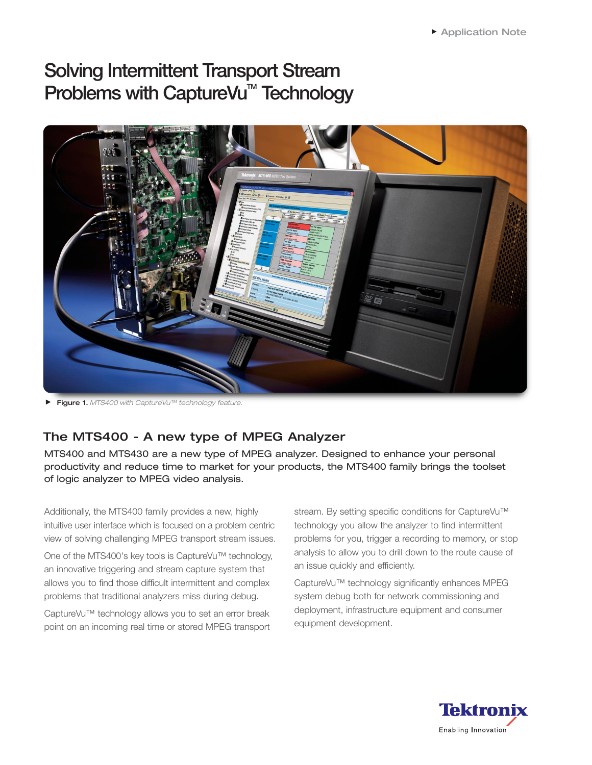# **Solving Intermittent Transport Stream Problems with CaptureVu<sup>™</sup> Technology**



Figure 1. *MTS400 with CaptureVu™ technology feature.*

## The MTS400 - A new type of MPEG Analyzer

MTS400 and MTS430 are a new type of MPEG analyzer. Designed to enhance your personal productivity and reduce time to market for your products, the MTS400 family brings the toolset of logic analyzer to MPEG video analysis.

Additionally, the MTS400 family provides a new, highly intuitive user interface which is focused on a problem centric view of solving challenging MPEG transport stream issues.

One of the MTS400's key tools is CaptureVu™ technology, an innovative triggering and stream capture system that allows you to find those difficult intermittent and complex problems that traditional analyzers miss during debug.

CaptureVu™ technology allows you to set an error break point on an incoming real time or stored MPEG transport stream. By setting specific conditions for CaptureVu™ technology you allow the analyzer to find intermittent problems for you, trigger a recording to memory, or stop analysis to allow you to drill down to the route cause of an issue quickly and efficiently.

CaptureVu™ technology significantly enhances MPEG system debug both for network commissioning and deployment, infrastructure equipment and consumer equipment development.

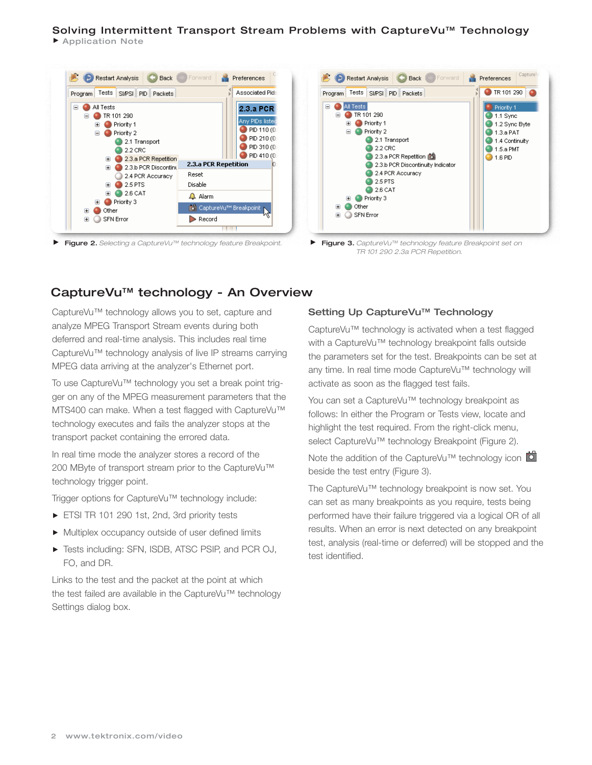### Solving Intermittent Transport Stream Problems with CaptureVu™ Technology

▶ Application Note



Figure 2. *Selecting a CaptureVu™ technology feature Breakpoint.*



Figure 3. *CaptureVu™ technology feature Breakpoint set on TR 101 290 2.3a PCR Repetition.*

### CaptureVu™ technology - An Overview

CaptureVu™ technology allows you to set, capture and analyze MPEG Transport Stream events during both deferred and real-time analysis. This includes real time CaptureVu™ technology analysis of live IP streams carrying MPEG data arriving at the analyzer's Ethernet port.

To use CaptureVu™ technology you set a break point trigger on any of the MPEG measurement parameters that the MTS400 can make. When a test flagged with CaptureVu™ technology executes and fails the analyzer stops at the transport packet containing the errored data.

In real time mode the analyzer stores a record of the 200 MByte of transport stream prior to the CaptureVu™ technology trigger point.

Trigger options for CaptureVu™ technology include:

- ETSI TR 101 290 1st, 2nd, 3rd priority tests
- Multiplex occupancy outside of user defined limits
- ▶ Tests including: SFN, ISDB, ATSC PSIP, and PCR OJ, FO, and DR.

Links to the test and the packet at the point at which the test failed are available in the CaptureVu™ technology Settings dialog box.

#### Setting Up CaptureVu<sup>™</sup> Technology

CaptureVu™ technology is activated when a test flagged with a CaptureVu™ technology breakpoint falls outside the parameters set for the test. Breakpoints can be set at any time. In real time mode CaptureVu™ technology will activate as soon as the flagged test fails.

You can set a CaptureVu™ technology breakpoint as follows: In either the Program or Tests view, locate and highlight the test required. From the right-click menu, select CaptureVu™ technology Breakpoint (Figure 2).

Note the addition of the CaptureVu™ technology icon beside the test entry (Figure 3).

The CaptureVu™ technology breakpoint is now set. You can set as many breakpoints as you require, tests being performed have their failure triggered via a logical OR of all results. When an error is next detected on any breakpoint test, analysis (real-time or deferred) will be stopped and the test identified.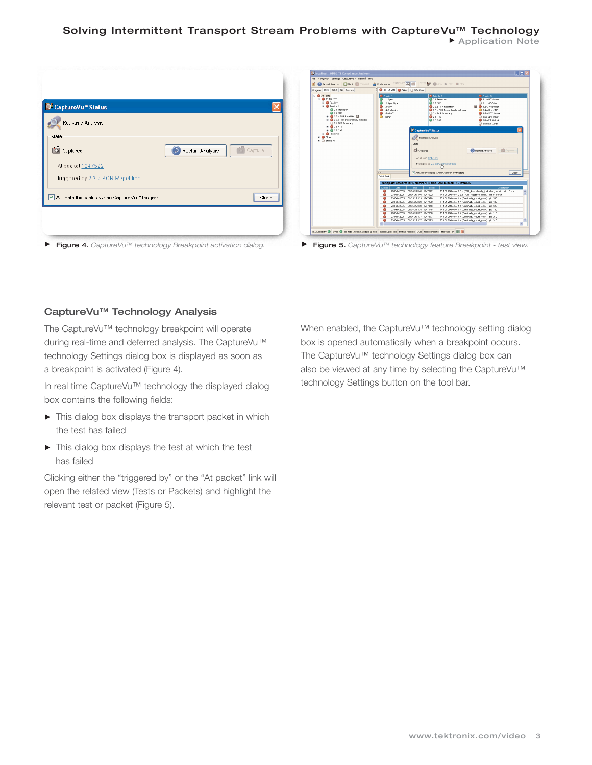#### Solving Intermittent Transport Stream Problems with CaptureVu™ Technology Application Note

| Real-time Analysis                                |                             |
|---------------------------------------------------|-----------------------------|
| State                                             |                             |
| Co Captured                                       | Capture<br>Restart Analysis |
| At packet 1247522                                 |                             |
| triggered by 2.3.a PCR Repetition                 |                             |
| Activate this dialog when CaptureVu™triggers<br>◡ | Close                       |

| <b>D</b> Restart Analysis <b>C</b> Back <b>Contract</b>                                                                                                                                                                                                                                                                   | Captura'Ad <sup>1</sup> a<br><b>A</b> Preferences                                                                                                                                                                                                                                                                      | Record <b>by @</b> Arm > Start <b>E</b> Stop                                                                                                                                                                                                                                                                                                                                                                                                                                                                                                                                                                                                                  |
|---------------------------------------------------------------------------------------------------------------------------------------------------------------------------------------------------------------------------------------------------------------------------------------------------------------------------|------------------------------------------------------------------------------------------------------------------------------------------------------------------------------------------------------------------------------------------------------------------------------------------------------------------------|---------------------------------------------------------------------------------------------------------------------------------------------------------------------------------------------------------------------------------------------------------------------------------------------------------------------------------------------------------------------------------------------------------------------------------------------------------------------------------------------------------------------------------------------------------------------------------------------------------------------------------------------------------------|
| Program Tests SIPSI PID Packets                                                                                                                                                                                                                                                                                           | TR 101 290 @ other STN Brior                                                                                                                                                                                                                                                                                           |                                                                                                                                                                                                                                                                                                                                                                                                                                                                                                                                                                                                                                                               |
| <b>B</b> All Tests<br>B ● TR 101 290<br><b>B</b> Priority 1<br>$\equiv$ <b>O</b> Priority 2<br>2.1 Transport<br>2.2 CRC<br>B @ 2.3.a PCR Repettion (M)<br>R @ 2.3.b PCR Discontinuity Indicator<br>2.4 PCR Accuracy<br># @ 25 PTS<br><b>B</b> 25 CAT<br><b>B</b> Priority 3<br><b>E</b> @ Other<br><b>EL CI SEN Error</b> | <sup>*</sup> Priority 1<br>1.1 Sync<br>1.2 Sync Byte<br>$01.3 \text{ a PAT}$<br>1.4 Continuity<br><b>O</b> 1.5 a PMT<br>0.15B<br>State<br>$\Delta$ W<br>Event Log                                                                                                                                                      | Priority 2<br>Priorty 3<br>2.1 Transport<br>3.1 a NT Actual<br>$22$ CRC<br>3.1b NT Other<br><b>IS 32 Si Repetition</b><br>23.a PCR Repetition<br>2.3.b PCR Discordinuty Indicator<br>3.4.a Unref PID<br>24 PCR Accuracy<br>35 a SDT Actual<br>25 PTS<br>3.5b SDT Other<br>$26$ CAT<br>3 S & BT Actual<br>36bBT Other<br>CaptureVu <sup>n</sup> Status<br>Real-time Analysis<br><b>ISB</b> Coopera-<br><b>ISI</b> Captured<br>Restart Analysis<br>At packet 1247522<br>triggered by 2.3.a PCR Repetition<br>Activate this dislog when CaptureVu <sup>na</sup> triggers<br>Close                                                                                |
|                                                                                                                                                                                                                                                                                                                           |                                                                                                                                                                                                                                                                                                                        | Transport Stream: Id 1, Network Name: ADHERENT NETWORK                                                                                                                                                                                                                                                                                                                                                                                                                                                                                                                                                                                                        |
|                                                                                                                                                                                                                                                                                                                           | Status:<br>Date<br>Time                                                                                                                                                                                                                                                                                                | Packet<br>Descriction                                                                                                                                                                                                                                                                                                                                                                                                                                                                                                                                                                                                                                         |
|                                                                                                                                                                                                                                                                                                                           | 23.565.2005<br>۵<br>23-Feb-2005 09:35:25:340 1247522<br>۵<br>٥<br>23-Feb-2005 09:35:25.339 1247490<br>23-Feb-2005 09:35:25.339 1247489<br>0<br>23-Feb-2005 09:35:25:338 1247446<br>۵<br>٥<br>23-Feb-2005 09:35:25:338 1247445<br>23-Feb-2005 09:35:25:337 1247380<br>۰<br>23-Feb-2005<br>۰<br>23 Feb 2005<br>$\langle$ | DR3525340 1247522<br>TR 101 290 error 2.3 b (PCR discontinuity indicator error); pid 110 start<br>TR 101 290 error 2.3 a (PCR repettion error); pid 110 start<br>TR 101 290 error 1.4 (Continuity count error) : pid 530<br>TR 101 290 error 1.4 (Continuity_count_error) : pid 420<br>TR 101 290 error 1.4 (Continuity_count_error) : pid 520<br>TR 101 290 error 1.4 (Continuity_count_error) : pid 130<br>TR 101 290 error 1.4 (Continuity_count_error) : pid 110<br>09 35 25 337 1247 377<br>TR 101 290 error 1.4 (Continuity_count_error) : pid 210<br>09:35:25:337 1247:375<br>TR 101 290 error 1.4 (Continuity count error) : pid 310<br>$\rightarrow$ |

Figure 4. *CaptureVu™ technology Breakpoint activation dialog.* Figure 5. *CaptureVu™ technology feature Breakpoint - test view.*

#### CaptureVu™ Technology Analysis

The CaptureVu™ technology breakpoint will operate during real-time and deferred analysis. The CaptureVu™ technology Settings dialog box is displayed as soon as a breakpoint is activated (Figure 4).

In real time CaptureVu™ technology the displayed dialog box contains the following fields:

- $\blacktriangleright$  This dialog box displays the transport packet in which the test has failed
- $\triangleright$  This dialog box displays the test at which the test has failed

Clicking either the "triggered by" or the "At packet" link will open the related view (Tests or Packets) and highlight the relevant test or packet (Figure 5).

When enabled, the CaptureVu™ technology setting dialog box is opened automatically when a breakpoint occurs. The CaptureVu™ technology Settings dialog box can also be viewed at any time by selecting the CaptureVu™ technology Settings button on the tool bar.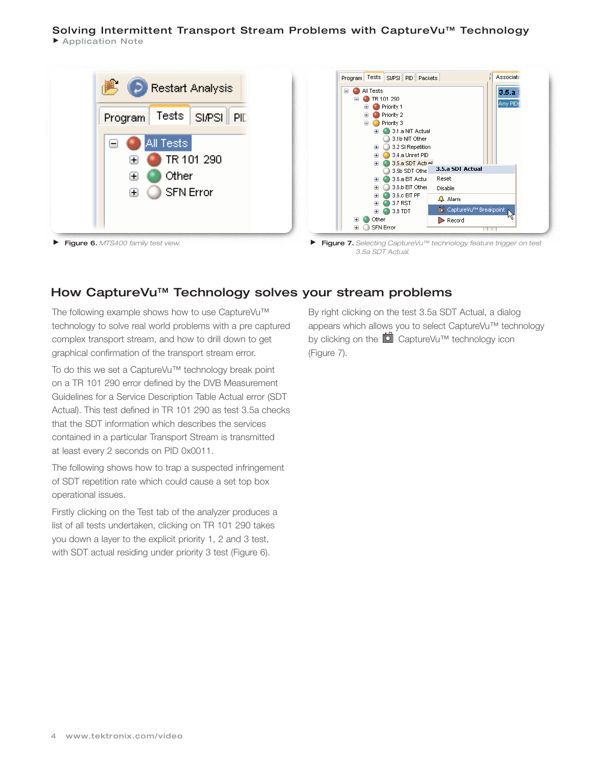### Solving Intermittent Transport Stream Problems with CaptureVu™ Technology

▶ Application Note



### How CaptureVu™ Technology solves your stream problems

The following example shows how to use CaptureVu™ technology to solve real world problems with a pre captured complex transport stream, and how to drill down to get graphical confirmation of the transport stream error.

To do this we set a CaptureVu™ technology break point on a TR 101 290 error defined by the DVB Measurement Guidelines for a Service Description Table Actual error (SDT Actual). This test defined in TR 101 290 as test 3.5a checks that the SDT information which describes the services contained in a particular Transport Stream is transmitted at least every 2 seconds on PID 0x0011.

The following shows how to trap a suspected infringement of SDT repetition rate which could cause a set top box operational issues.

Firstly clicking on the Test tab of the analyzer produces a list of all tests undertaken, clicking on TR 101 290 takes you down a layer to the explicit priority 1, 2 and 3 test, with SDT actual residing under priority 3 test (Figure 6).

By right clicking on the test 3.5a SDT Actual, a dialog appears which allows you to select CaptureVu™ technology by clicking on the **C** CaptureVu™ technology icon (Figure 7).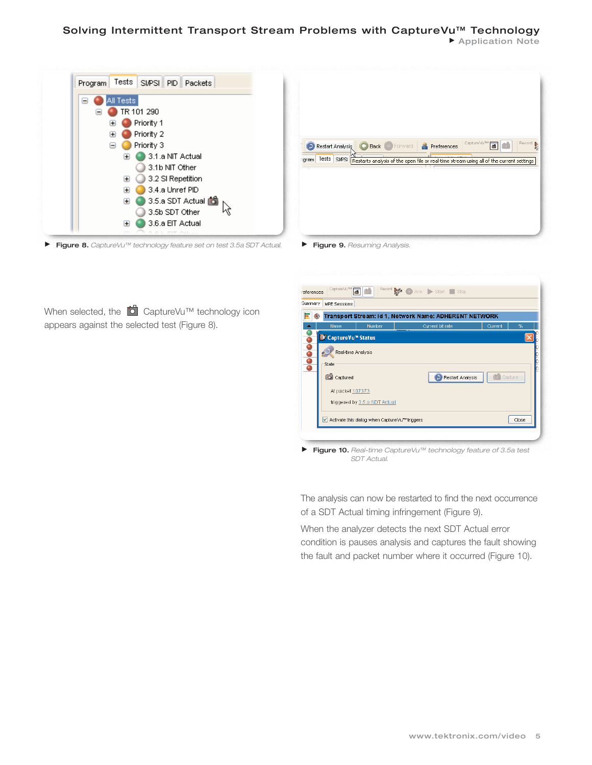#### Solving Intermittent Transport Stream Problems with CaptureVu<sup>™</sup> Technology Application Note

| All Tests<br>Θ<br>TR 101 290<br>Priority 1<br>Priority 2<br>Œ<br>Priority 3<br>⊟<br>3.1.a NIT Actual<br>H<br>3.1b NIT Other<br>3.2 SI Repetition<br>Œ | Capture Vu <sup>m/</sup><br>60<br><b>Back Forward</b><br><b>Preferences</b><br>Restart Analysis<br>ogram   Tests   SI/PSI   Restarts analysis of the open file or real-time stream using all of the current settings |
|-------------------------------------------------------------------------------------------------------------------------------------------------------|----------------------------------------------------------------------------------------------------------------------------------------------------------------------------------------------------------------------|
| 3.4.a Unref PID<br>圃                                                                                                                                  |                                                                                                                                                                                                                      |
| 3.5.a SDT Actual <b>6</b><br>田                                                                                                                        |                                                                                                                                                                                                                      |
| M<br>3.5b SDT Other                                                                                                                                   |                                                                                                                                                                                                                      |
| 3.6.a EIT Actual<br>圃                                                                                                                                 |                                                                                                                                                                                                                      |

When selected, the **C** CaptureVu™ technology icon appears against the selected test (Figure 8).

| references                                             | Capture Vu <sup>m4</sup>        | 画                                              | Record <b>ye</b> Arm Start Stop |         |         |  |  |  |
|--------------------------------------------------------|---------------------------------|------------------------------------------------|---------------------------------|---------|---------|--|--|--|
| Summary                                                | <b>MPE Sessions</b>             |                                                |                                 |         |         |  |  |  |
| Transport Stream: Id 1, Network Name: ADHERENT NETWORK |                                 |                                                |                                 |         |         |  |  |  |
|                                                        | Name                            | Number                                         | Current bit rate                | Current | %       |  |  |  |
|                                                        | ● CaptureVu <sup>™</sup> Status |                                                |                                 |         |         |  |  |  |
| $\frac{1}{2}$                                          | Real-time Analysis              |                                                |                                 |         |         |  |  |  |
|                                                        | State                           |                                                |                                 |         |         |  |  |  |
|                                                        | Captured                        |                                                | Restart Analysis                |         | Capture |  |  |  |
|                                                        | At packet 107373                |                                                |                                 |         |         |  |  |  |
|                                                        |                                 | triggered by 3.5.a SDT Actual                  |                                 |         |         |  |  |  |
|                                                        |                                 | √ Activate this dialog when CaptureVu™triggers |                                 |         | Close   |  |  |  |
|                                                        |                                 |                                                |                                 |         |         |  |  |  |
|                                                        |                                 |                                                |                                 |         |         |  |  |  |

Figure 10. *Real-time CaptureVu™ technology feature of 3.5a test SDT Actual.*

The analysis can now be restarted to find the next occurrence of a SDT Actual timing infringement (Figure 9).

When the analyzer detects the next SDT Actual error condition is pauses analysis and captures the fault showing the fault and packet number where it occurred (Figure 10).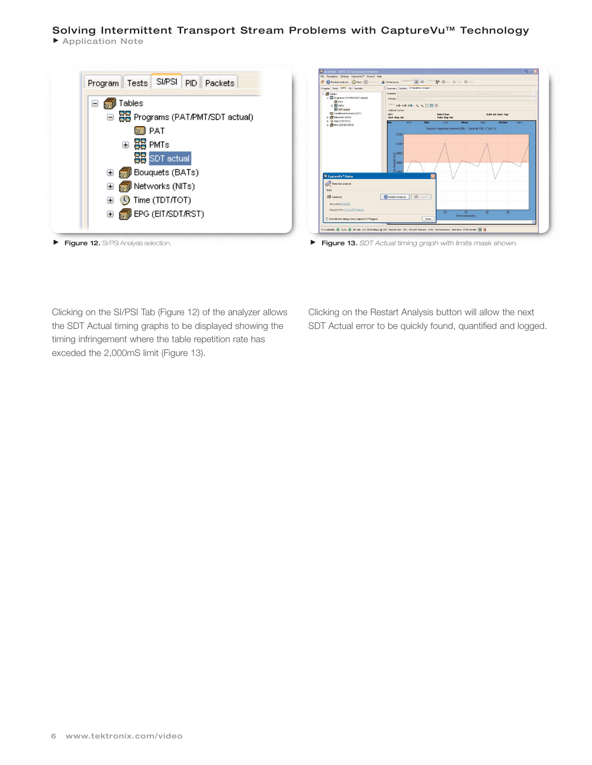### Solving Intermittent Transport Stream Problems with CaptureVu<sup>™</sup> Technology

Application Note





Clicking on the SI/PSI Tab (Figure 12) of the analyzer allows the SDT Actual timing graphs to be displayed showing the timing infringement where the table repetition rate has exceded the 2,000mS limit (Figure 13).

Clicking on the Restart Analysis button will allow the next SDT Actual error to be quickly found, quantified and logged.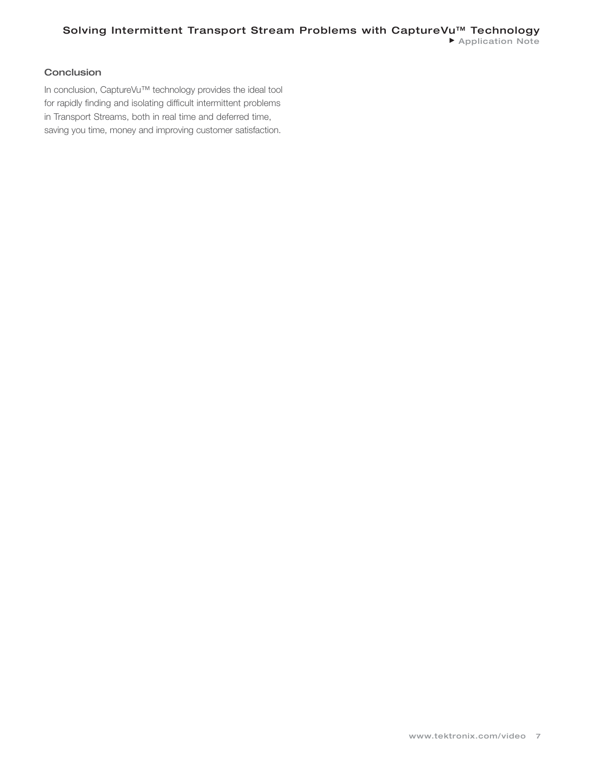### **Conclusion**

In conclusion, CaptureVu™ technology provides the ideal tool for rapidly finding and isolating difficult intermittent problems in Transport Streams, both in real time and deferred time, saving you time, money and improving customer satisfaction.